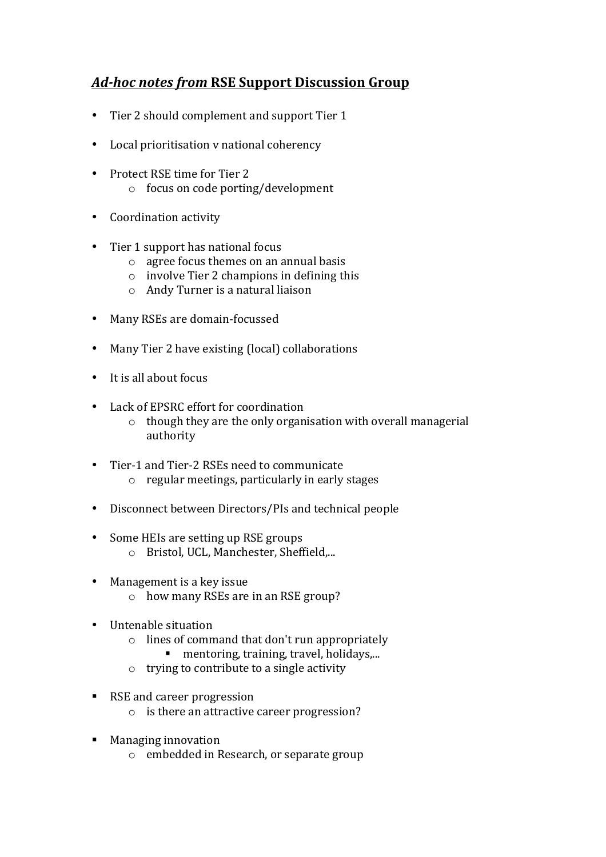## *Ad-hoc notes from* **RSE Support Discussion Group**

- Tier 2 should complement and support Tier 1
- Local prioritisation v national coherency
- Protect RSE time for Tier 2 o focus on code porting/development
- Coordination activity
- Tier 1 support has national focus
	- $\circ$  agree focus themes on an annual basis
	- $\circ$  involve Tier 2 champions in defining this
	- $\circ$  Andy Turner is a natural liaison
- Many RSEs are domain-focussed
- Many Tier 2 have existing (local) collaborations
- $\bullet$  It is all about focus
- Lack of EPSRC effort for coordination
	- $\circ$  though they are the only organisation with overall managerial authority
- Tier-1 and Tier-2 RSEs need to communicate  $\circ$  regular meetings, particularly in early stages
- Disconnect between Directors/PIs and technical people
- Some HEIs are setting up RSE groups o Bristol, UCL, Manchester, Sheffield,...
- Management is a key issue
	- $\circ$  how many RSEs are in an RSE group?
- Untenable situation
	- $\circ$  lines of command that don't run appropriately
		- mentoring, training, travel, holidays,...
	- $\circ$  trying to contribute to a single activity
- RSE and career progression
	- $\circ$  is there an attractive career progression?
- Managing innovation
	- $\circ$  embedded in Research, or separate group